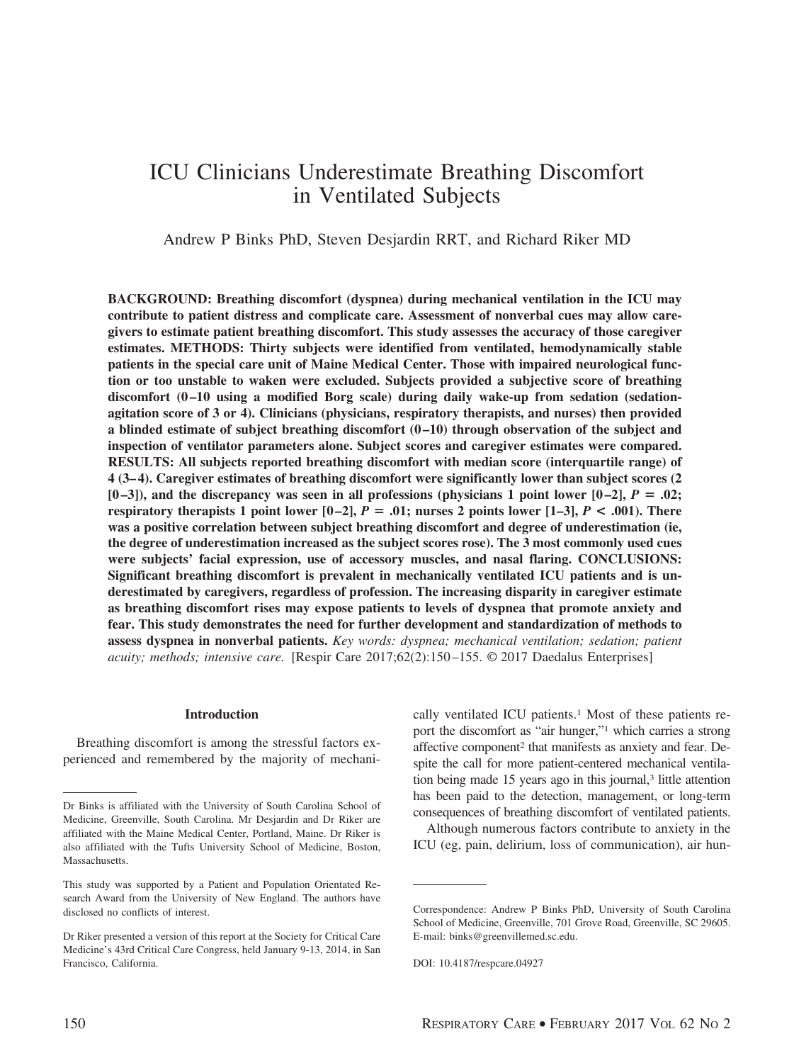# ICU Clinicians Underestimate Breathing Discomfort in Ventilated Subjects

Andrew P Binks PhD, Steven Desjardin RRT, and Richard Riker MD

**BACKGROUND: Breathing discomfort (dyspnea) during mechanical ventilation in the ICU may contribute to patient distress and complicate care. Assessment of nonverbal cues may allow caregivers to estimate patient breathing discomfort. This study assesses the accuracy of those caregiver estimates. METHODS: Thirty subjects were identified from ventilated, hemodynamically stable patients in the special care unit of Maine Medical Center. Those with impaired neurological function or too unstable to waken were excluded. Subjects provided a subjective score of breathing** discomfort  $(0-10)$  using a modified Borg scale) during daily wake-up from sedation (sedation**agitation score of 3 or 4). Clinicians (physicians, respiratory therapists, and nurses) then provided a blinded estimate of subject breathing discomfort (0 –10) through observation of the subject and inspection of ventilator parameters alone. Subject scores and caregiver estimates were compared. RESULTS: All subjects reported breathing discomfort with median score (interquartile range) of 4 (3– 4). Caregiver estimates of breathing discomfort were significantly lower than subject scores (2**  $[0-3]$ , and the discrepancy was seen in all professions (physicians 1 point lower  $[0-2]$ ,  $P = .02$ ; **respiratory therapists 1 point lower**  $[0-2]$ **,**  $P = .01$ **; nurses 2 points lower**  $[1-3]$ **,**  $P < .001$ **). There was a positive correlation between subject breathing discomfort and degree of underestimation (ie, the degree of underestimation increased as the subject scores rose). The 3 most commonly used cues were subjects' facial expression, use of accessory muscles, and nasal flaring. CONCLUSIONS: Significant breathing discomfort is prevalent in mechanically ventilated ICU patients and is underestimated by caregivers, regardless of profession. The increasing disparity in caregiver estimate as breathing discomfort rises may expose patients to levels of dyspnea that promote anxiety and fear. This study demonstrates the need for further development and standardization of methods to assess dyspnea in nonverbal patients.** *Key words: dyspnea; mechanical ventilation; sedation; patient acuity; methods; intensive care.* [Respir Care 2017;62(2):150 –155. © 2017 Daedalus Enterprises]

#### **Introduction**

Breathing discomfort is among the stressful factors experienced and remembered by the majority of mechanically ventilated ICU patients.<sup>1</sup> Most of these patients report the discomfort as "air hunger,"1 which carries a strong affective component2 that manifests as anxiety and fear. Despite the call for more patient-centered mechanical ventilation being made 15 years ago in this journal,<sup>3</sup> little attention has been paid to the detection, management, or long-term consequences of breathing discomfort of ventilated patients.

Although numerous factors contribute to anxiety in the ICU (eg, pain, delirium, loss of communication), air hun-

Dr Binks is affiliated with the University of South Carolina School of Medicine, Greenville, South Carolina. Mr Desjardin and Dr Riker are affiliated with the Maine Medical Center, Portland, Maine. Dr Riker is also affiliated with the Tufts University School of Medicine, Boston, Massachusetts.

This study was supported by a Patient and Population Orientated Research Award from the University of New England. The authors have disclosed no conflicts of interest.

Dr Riker presented a version of this report at the Society for Critical Care Medicine's 43rd Critical Care Congress, held January 9-13, 2014, in San Francisco, California.

Correspondence: Andrew P Binks PhD, University of South Carolina School of Medicine, Greenville, 701 Grove Road, Greenville, SC 29605. E-mail: binks@greenvillemed.sc.edu.

DOI: 10.4187/respcare.04927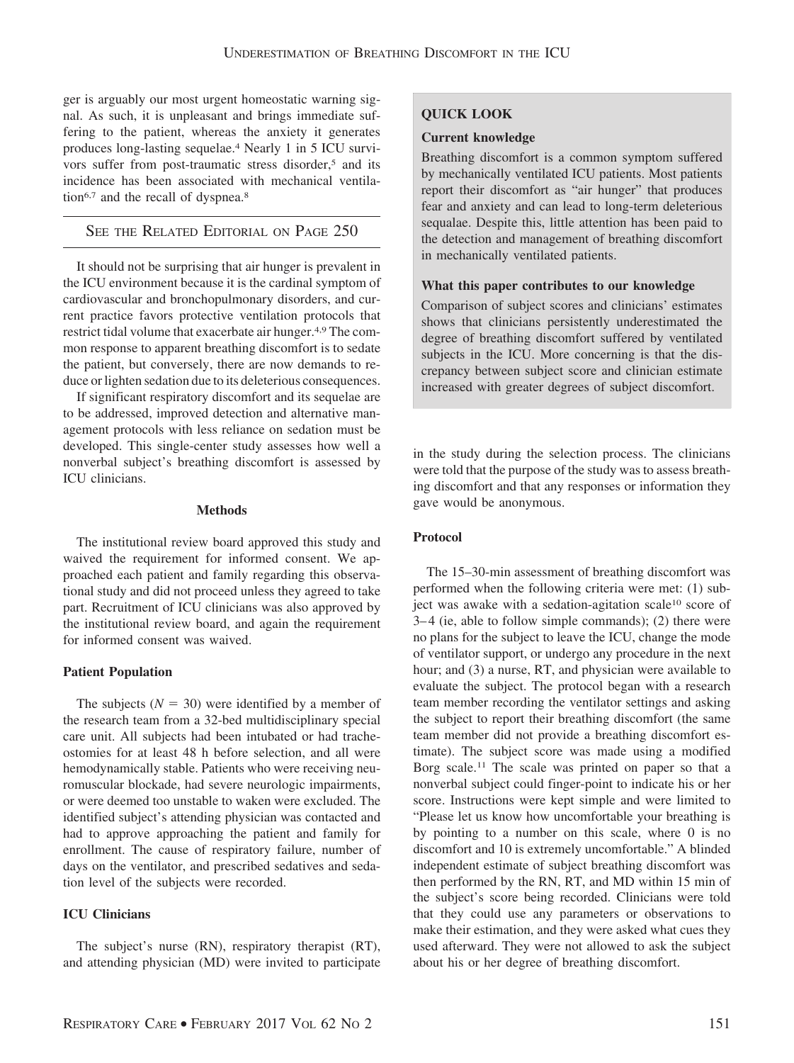ger is arguably our most urgent homeostatic warning signal. As such, it is unpleasant and brings immediate suffering to the patient, whereas the anxiety it generates produces long-lasting sequelae.4 Nearly 1 in 5 ICU survivors suffer from post-traumatic stress disorder,<sup>5</sup> and its incidence has been associated with mechanical ventilation<sup>6,7</sup> and the recall of dyspnea.<sup>8</sup>

# SEE THE RELATED EDITORIAL ON PAGE 250

It should not be surprising that air hunger is prevalent in the ICU environment because it is the cardinal symptom of cardiovascular and bronchopulmonary disorders, and current practice favors protective ventilation protocols that restrict tidal volume that exacerbate air hunger.4,9 The common response to apparent breathing discomfort is to sedate the patient, but conversely, there are now demands to reduce or lighten sedation due to its deleterious consequences.

If significant respiratory discomfort and its sequelae are to be addressed, improved detection and alternative management protocols with less reliance on sedation must be developed. This single-center study assesses how well a nonverbal subject's breathing discomfort is assessed by ICU clinicians.

## **Methods**

The institutional review board approved this study and waived the requirement for informed consent. We approached each patient and family regarding this observational study and did not proceed unless they agreed to take part. Recruitment of ICU clinicians was also approved by the institutional review board, and again the requirement for informed consent was waived.

# **Patient Population**

The subjects  $(N = 30)$  were identified by a member of the research team from a 32-bed multidisciplinary special care unit. All subjects had been intubated or had tracheostomies for at least 48 h before selection, and all were hemodynamically stable. Patients who were receiving neuromuscular blockade, had severe neurologic impairments, or were deemed too unstable to waken were excluded. The identified subject's attending physician was contacted and had to approve approaching the patient and family for enrollment. The cause of respiratory failure, number of days on the ventilator, and prescribed sedatives and sedation level of the subjects were recorded.

# **ICU Clinicians**

The subject's nurse (RN), respiratory therapist (RT), and attending physician (MD) were invited to participate

# **QUICK LOOK**

# **Current knowledge**

Breathing discomfort is a common symptom suffered by mechanically ventilated ICU patients. Most patients report their discomfort as "air hunger" that produces fear and anxiety and can lead to long-term deleterious sequalae. Despite this, little attention has been paid to the detection and management of breathing discomfort in mechanically ventilated patients.

# **What this paper contributes to our knowledge**

Comparison of subject scores and clinicians' estimates shows that clinicians persistently underestimated the degree of breathing discomfort suffered by ventilated subjects in the ICU. More concerning is that the discrepancy between subject score and clinician estimate increased with greater degrees of subject discomfort.

in the study during the selection process. The clinicians were told that the purpose of the study was to assess breathing discomfort and that any responses or information they gave would be anonymous.

# **Protocol**

The 15–30-min assessment of breathing discomfort was performed when the following criteria were met: (1) subject was awake with a sedation-agitation scale<sup>10</sup> score of  $3-4$  (ie, able to follow simple commands); (2) there were no plans for the subject to leave the ICU, change the mode of ventilator support, or undergo any procedure in the next hour; and (3) a nurse, RT, and physician were available to evaluate the subject. The protocol began with a research team member recording the ventilator settings and asking the subject to report their breathing discomfort (the same team member did not provide a breathing discomfort estimate). The subject score was made using a modified Borg scale.11 The scale was printed on paper so that a nonverbal subject could finger-point to indicate his or her score. Instructions were kept simple and were limited to "Please let us know how uncomfortable your breathing is by pointing to a number on this scale, where 0 is no discomfort and 10 is extremely uncomfortable." A blinded independent estimate of subject breathing discomfort was then performed by the RN, RT, and MD within 15 min of the subject's score being recorded. Clinicians were told that they could use any parameters or observations to make their estimation, and they were asked what cues they used afterward. They were not allowed to ask the subject about his or her degree of breathing discomfort.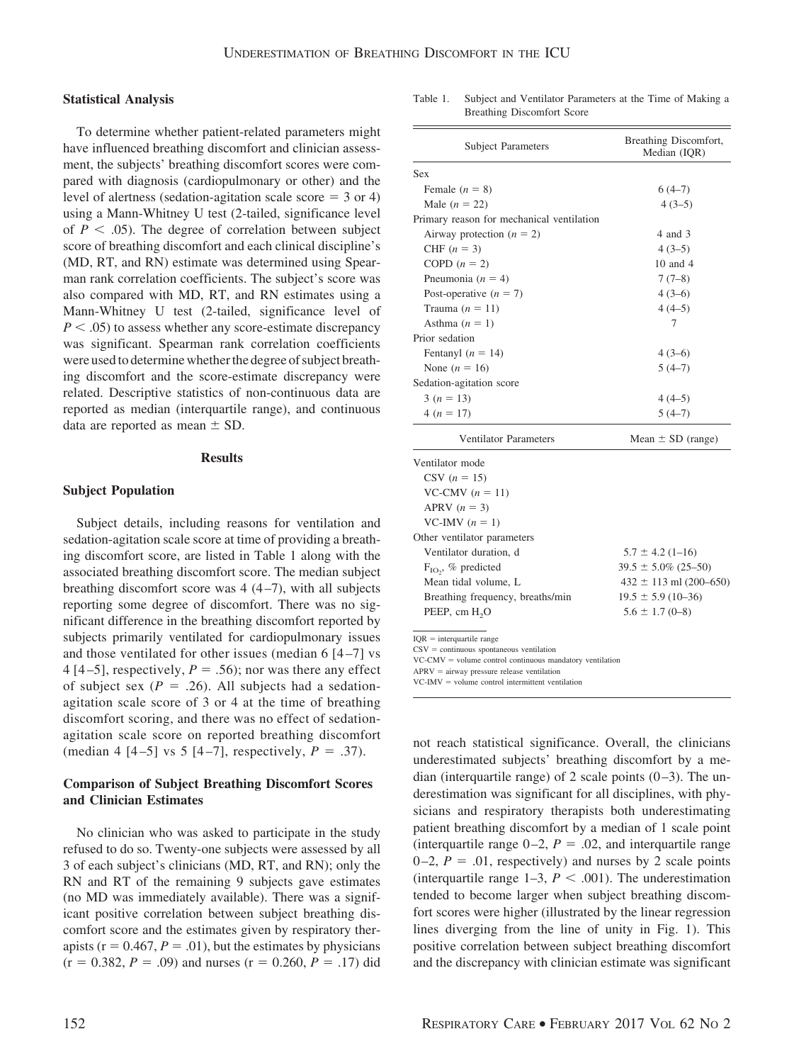#### **Statistical Analysis**

To determine whether patient-related parameters might have influenced breathing discomfort and clinician assessment, the subjects' breathing discomfort scores were compared with diagnosis (cardiopulmonary or other) and the level of alertness (sedation-agitation scale score  $=$  3 or 4) using a Mann-Whitney U test (2-tailed, significance level of  $P < .05$ ). The degree of correlation between subject score of breathing discomfort and each clinical discipline's (MD, RT, and RN) estimate was determined using Spearman rank correlation coefficients. The subject's score was also compared with MD, RT, and RN estimates using a Mann-Whitney U test (2-tailed, significance level of  $P < .05$ ) to assess whether any score-estimate discrepancy was significant. Spearman rank correlation coefficients were used to determine whether the degree of subject breathing discomfort and the score-estimate discrepancy were related. Descriptive statistics of non-continuous data are reported as median (interquartile range), and continuous data are reported as mean  $\pm$  SD.

## **Results**

## **Subject Population**

Subject details, including reasons for ventilation and sedation-agitation scale score at time of providing a breathing discomfort score, are listed in Table 1 along with the associated breathing discomfort score. The median subject breathing discomfort score was  $4(4-7)$ , with all subjects reporting some degree of discomfort. There was no significant difference in the breathing discomfort reported by subjects primarily ventilated for cardiopulmonary issues and those ventilated for other issues (median  $6[4-7]$  vs 4 [4–5], respectively,  $P = .56$ ; nor was there any effect of subject sex  $(P = .26)$ . All subjects had a sedationagitation scale score of 3 or 4 at the time of breathing discomfort scoring, and there was no effect of sedationagitation scale score on reported breathing discomfort (median 4  $[4-5]$  vs 5  $[4-7]$ , respectively,  $P = .37$ ).

# **Comparison of Subject Breathing Discomfort Scores and Clinician Estimates**

No clinician who was asked to participate in the study refused to do so. Twenty-one subjects were assessed by all 3 of each subject's clinicians (MD, RT, and RN); only the RN and RT of the remaining 9 subjects gave estimates (no MD was immediately available). There was a significant positive correlation between subject breathing discomfort score and the estimates given by respiratory therapists ( $r = 0.467$ ,  $P = .01$ ), but the estimates by physicians  $(r = 0.382, P = .09)$  and nurses  $(r = 0.260, P = .17)$  did

Table 1. Subject and Ventilator Parameters at the Time of Making a Breathing Discomfort Score

| <b>Subject Parameters</b>                                                                                              | Breathing Discomfort,<br>Median (IQR) |
|------------------------------------------------------------------------------------------------------------------------|---------------------------------------|
| Sex                                                                                                                    |                                       |
| Female $(n = 8)$                                                                                                       | $6(4-7)$                              |
| Male $(n = 22)$                                                                                                        | $4(3-5)$                              |
| Primary reason for mechanical ventilation                                                                              |                                       |
| Airway protection $(n = 2)$                                                                                            | 4 and 3                               |
| CHF $(n = 3)$                                                                                                          | $4(3-5)$                              |
| COPD $(n = 2)$                                                                                                         | 10 and 4                              |
| Pneumonia ( $n = 4$ )                                                                                                  | $7(7-8)$                              |
| Post-operative $(n = 7)$                                                                                               | $4(3-6)$                              |
| Trauma $(n = 11)$                                                                                                      | $4(4-5)$                              |
| Asthma $(n = 1)$                                                                                                       | 7                                     |
| Prior sedation                                                                                                         |                                       |
| Fentanyl $(n = 14)$                                                                                                    | $4(3-6)$                              |
| None $(n = 16)$                                                                                                        | $5(4-7)$                              |
| Sedation-agitation score                                                                                               |                                       |
| $3(n = 13)$                                                                                                            | $4(4-5)$                              |
| $4(n = 17)$                                                                                                            | $5(4-7)$                              |
| <b>Ventilator Parameters</b>                                                                                           | Mean $\pm$ SD (range)                 |
| Ventilator mode                                                                                                        |                                       |
| $CSV (n = 15)$                                                                                                         |                                       |
| VC-CMV $(n = 11)$                                                                                                      |                                       |
| APRV $(n = 3)$                                                                                                         |                                       |
| VC-IMV $(n = 1)$                                                                                                       |                                       |
| Other ventilator parameters                                                                                            |                                       |
| Ventilator duration, d                                                                                                 | $5.7 \pm 4.2$ (1-16)                  |
| $F_{IO}$ , % predicted                                                                                                 | $39.5 \pm 5.0\%$ (25-50)              |
| Mean tidal volume, L                                                                                                   | $432 \pm 113$ ml (200-650)            |
| Breathing frequency, breaths/min                                                                                       | $19.5 \pm 5.9$ (10-36)                |
| PEEP, cm H <sub>2</sub> O                                                                                              | $5.6 \pm 1.7$ (0-8)                   |
| $IQR =$ interquartile range                                                                                            |                                       |
| $\text{CSV} = \text{continuous spontaneous ventilation}$<br>$VC-CMV = volume control continuous mandatory ventilation$ |                                       |

 $VC-CMV =$ = volume control continuous mandatory ventilation

 $APRV =$  airway pressure release ventilation

 $VC-IMV = volume control intermittent ventilation$ 

not reach statistical significance. Overall, the clinicians underestimated subjects' breathing discomfort by a median (interquartile range) of 2 scale points  $(0-3)$ . The underestimation was significant for all disciplines, with physicians and respiratory therapists both underestimating patient breathing discomfort by a median of 1 scale point (interquartile range  $0-2$ ,  $P = .02$ , and interquartile range  $0-2$ ,  $P = .01$ , respectively) and nurses by 2 scale points (interquartile range  $1-3$ ,  $P < .001$ ). The underestimation tended to become larger when subject breathing discomfort scores were higher (illustrated by the linear regression lines diverging from the line of unity in Fig. 1). This positive correlation between subject breathing discomfort and the discrepancy with clinician estimate was significant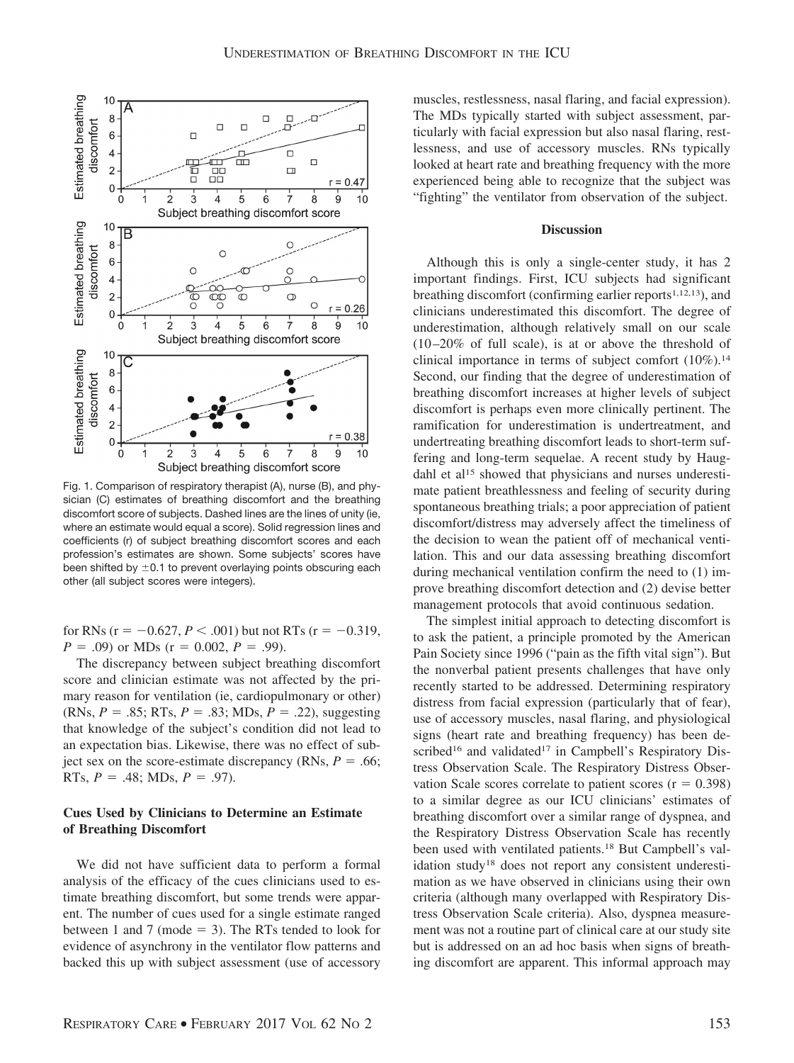

Fig. 1. Comparison of respiratory therapist (A), nurse (B), and physician (C) estimates of breathing discomfort and the breathing discomfort score of subjects. Dashed lines are the lines of unity (ie, where an estimate would equal a score). Solid regression lines and coefficients (r) of subject breathing discomfort scores and each profession's estimates are shown. Some subjects' scores have been shifted by  $\pm 0.1$  to prevent overlaying points obscuring each other (all subject scores were integers).

for RNs ( $r = -0.627, P < .001$ ) but not RTs ( $r = -0.319,$  $P = .09$  or MDs ( $r = 0.002$ ,  $P = .99$ ).

The discrepancy between subject breathing discomfort score and clinician estimate was not affected by the primary reason for ventilation (ie, cardiopulmonary or other)  $(RNs, P = .85; RTs, P = .83; MDs, P = .22)$ , suggesting that knowledge of the subject's condition did not lead to an expectation bias. Likewise, there was no effect of subject sex on the score-estimate discrepancy (RNs,  $P = .66$ ; RTs,  $P = .48$ ; MDs,  $P = .97$ ).

# **Cues Used by Clinicians to Determine an Estimate of Breathing Discomfort**

We did not have sufficient data to perform a formal analysis of the efficacy of the cues clinicians used to estimate breathing discomfort, but some trends were apparent. The number of cues used for a single estimate ranged between 1 and 7 (mode  $=$  3). The RTs tended to look for evidence of asynchrony in the ventilator flow patterns and backed this up with subject assessment (use of accessory muscles, restlessness, nasal flaring, and facial expression). The MDs typically started with subject assessment, particularly with facial expression but also nasal flaring, restlessness, and use of accessory muscles. RNs typically looked at heart rate and breathing frequency with the more experienced being able to recognize that the subject was "fighting" the ventilator from observation of the subject.

### **Discussion**

Although this is only a single-center study, it has 2 important findings. First, ICU subjects had significant breathing discomfort (confirming earlier reports $1,12,13$ ), and clinicians underestimated this discomfort. The degree of underestimation, although relatively small on our scale  $(10-20\%$  of full scale), is at or above the threshold of clinical importance in terms of subject comfort  $(10\%)$ .<sup>14</sup> Second, our finding that the degree of underestimation of breathing discomfort increases at higher levels of subject discomfort is perhaps even more clinically pertinent. The ramification for underestimation is undertreatment, and undertreating breathing discomfort leads to short-term suffering and long-term sequelae. A recent study by Haugdahl et al<sup>15</sup> showed that physicians and nurses underestimate patient breathlessness and feeling of security during spontaneous breathing trials; a poor appreciation of patient discomfort/distress may adversely affect the timeliness of the decision to wean the patient off of mechanical ventilation. This and our data assessing breathing discomfort during mechanical ventilation confirm the need to (1) improve breathing discomfort detection and (2) devise better management protocols that avoid continuous sedation.

The simplest initial approach to detecting discomfort is to ask the patient, a principle promoted by the American Pain Society since 1996 ("pain as the fifth vital sign"). But the nonverbal patient presents challenges that have only recently started to be addressed. Determining respiratory distress from facial expression (particularly that of fear), use of accessory muscles, nasal flaring, and physiological signs (heart rate and breathing frequency) has been described<sup>16</sup> and validated<sup>17</sup> in Campbell's Respiratory Distress Observation Scale. The Respiratory Distress Observation Scale scores correlate to patient scores  $(r = 0.398)$ to a similar degree as our ICU clinicians' estimates of breathing discomfort over a similar range of dyspnea, and the Respiratory Distress Observation Scale has recently been used with ventilated patients.18 But Campbell's validation study18 does not report any consistent underestimation as we have observed in clinicians using their own criteria (although many overlapped with Respiratory Distress Observation Scale criteria). Also, dyspnea measurement was not a routine part of clinical care at our study site but is addressed on an ad hoc basis when signs of breathing discomfort are apparent. This informal approach may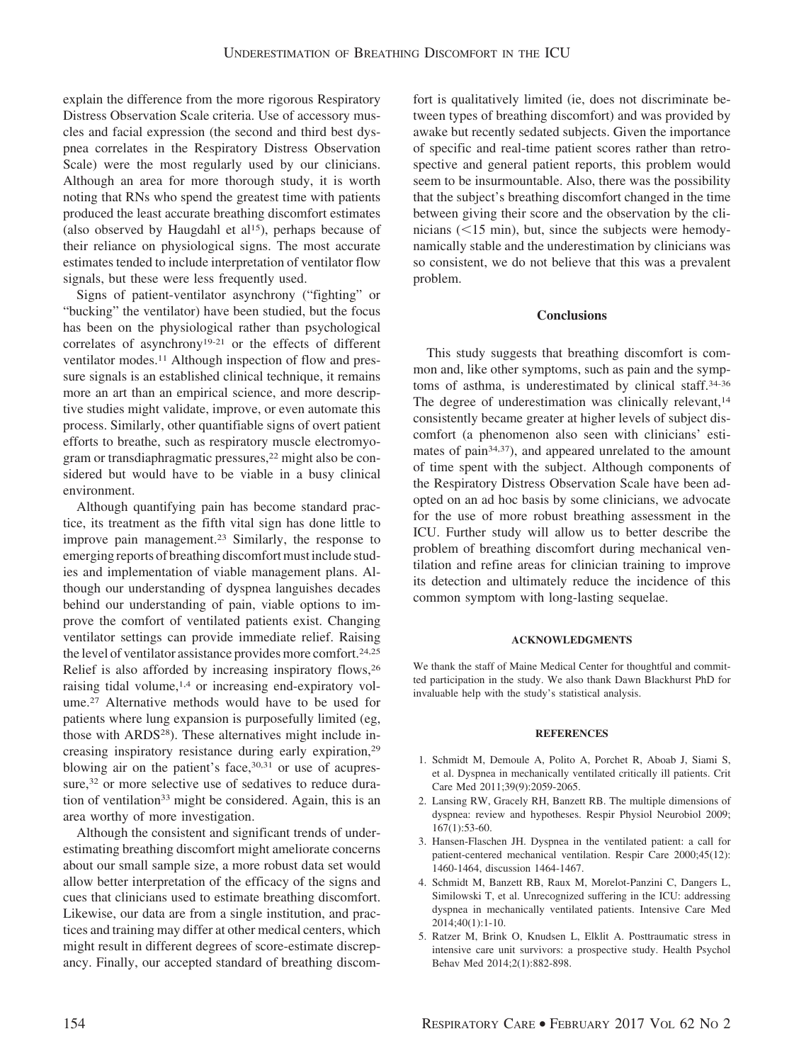explain the difference from the more rigorous Respiratory Distress Observation Scale criteria. Use of accessory muscles and facial expression (the second and third best dyspnea correlates in the Respiratory Distress Observation Scale) were the most regularly used by our clinicians. Although an area for more thorough study, it is worth noting that RNs who spend the greatest time with patients produced the least accurate breathing discomfort estimates (also observed by Haugdahl et al<sup>15</sup>), perhaps because of their reliance on physiological signs. The most accurate estimates tended to include interpretation of ventilator flow signals, but these were less frequently used.

Signs of patient-ventilator asynchrony ("fighting" or "bucking" the ventilator) have been studied, but the focus has been on the physiological rather than psychological correlates of asynchrony19-21 or the effects of different ventilator modes.<sup>11</sup> Although inspection of flow and pressure signals is an established clinical technique, it remains more an art than an empirical science, and more descriptive studies might validate, improve, or even automate this process. Similarly, other quantifiable signs of overt patient efforts to breathe, such as respiratory muscle electromyogram or transdiaphragmatic pressures,<sup>22</sup> might also be considered but would have to be viable in a busy clinical environment.

Although quantifying pain has become standard practice, its treatment as the fifth vital sign has done little to improve pain management.23 Similarly, the response to emerging reports of breathing discomfort must include studies and implementation of viable management plans. Although our understanding of dyspnea languishes decades behind our understanding of pain, viable options to improve the comfort of ventilated patients exist. Changing ventilator settings can provide immediate relief. Raising the level of ventilator assistance provides more comfort.<sup>24,25</sup> Relief is also afforded by increasing inspiratory flows,26 raising tidal volume,1,4 or increasing end-expiratory volume.27 Alternative methods would have to be used for patients where lung expansion is purposefully limited (eg, those with ARDS<sup>28</sup>). These alternatives might include increasing inspiratory resistance during early expiration,29 blowing air on the patient's face, 30,31 or use of acupressure,<sup>32</sup> or more selective use of sedatives to reduce duration of ventilation<sup>33</sup> might be considered. Again, this is an area worthy of more investigation.

Although the consistent and significant trends of underestimating breathing discomfort might ameliorate concerns about our small sample size, a more robust data set would allow better interpretation of the efficacy of the signs and cues that clinicians used to estimate breathing discomfort. Likewise, our data are from a single institution, and practices and training may differ at other medical centers, which might result in different degrees of score-estimate discrepancy. Finally, our accepted standard of breathing discomfort is qualitatively limited (ie, does not discriminate between types of breathing discomfort) and was provided by awake but recently sedated subjects. Given the importance of specific and real-time patient scores rather than retrospective and general patient reports, this problem would seem to be insurmountable. Also, there was the possibility that the subject's breathing discomfort changed in the time between giving their score and the observation by the clinicians  $(< 15$  min), but, since the subjects were hemodynamically stable and the underestimation by clinicians was so consistent, we do not believe that this was a prevalent problem.

## **Conclusions**

This study suggests that breathing discomfort is common and, like other symptoms, such as pain and the symptoms of asthma, is underestimated by clinical staff.34-36 The degree of underestimation was clinically relevant,<sup>14</sup> consistently became greater at higher levels of subject discomfort (a phenomenon also seen with clinicians' estimates of pain<sup>34,37</sup>), and appeared unrelated to the amount of time spent with the subject. Although components of the Respiratory Distress Observation Scale have been adopted on an ad hoc basis by some clinicians, we advocate for the use of more robust breathing assessment in the ICU. Further study will allow us to better describe the problem of breathing discomfort during mechanical ventilation and refine areas for clinician training to improve its detection and ultimately reduce the incidence of this common symptom with long-lasting sequelae.

## **ACKNOWLEDGMENTS**

We thank the staff of Maine Medical Center for thoughtful and committed participation in the study. We also thank Dawn Blackhurst PhD for invaluable help with the study's statistical analysis.

#### **REFERENCES**

- 1. Schmidt M, Demoule A, Polito A, Porchet R, Aboab J, Siami S, et al. Dyspnea in mechanically ventilated critically ill patients. Crit Care Med 2011;39(9):2059-2065.
- 2. Lansing RW, Gracely RH, Banzett RB. The multiple dimensions of dyspnea: review and hypotheses. Respir Physiol Neurobiol 2009; 167(1):53-60.
- 3. Hansen-Flaschen JH. Dyspnea in the ventilated patient: a call for patient-centered mechanical ventilation. Respir Care 2000;45(12): 1460-1464, discussion 1464-1467.
- 4. Schmidt M, Banzett RB, Raux M, Morelot-Panzini C, Dangers L, Similowski T, et al. Unrecognized suffering in the ICU: addressing dyspnea in mechanically ventilated patients. Intensive Care Med 2014;40(1):1-10.
- 5. Ratzer M, Brink O, Knudsen L, Elklit A. Posttraumatic stress in intensive care unit survivors: a prospective study. Health Psychol Behav Med 2014;2(1):882-898.